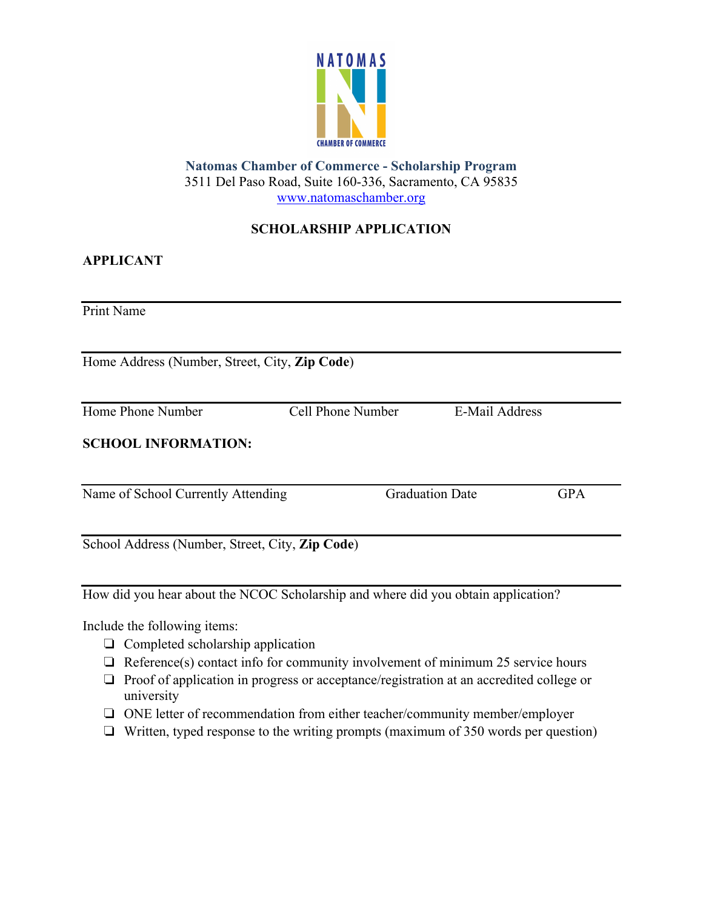

# **Natomas Chamber of Commerce - Scholarship Program** 3511 Del Paso Road, Suite 160-336, Sacramento, CA 95835 www.natomaschamber.org

# **SCHOLARSHIP APPLICATION**

### **APPLICANT**

Print Name

Home Address (Number, Street, City, **Zip Code**)

Cell Phone Number E-Mail Address

### **SCHOOL INFORMATION:**

Name of School Currently Attending Graduation Date GPA

School Address (Number, Street, City, **Zip Code**)

How did you hear about the NCOC Scholarship and where did you obtain application?

Include the following items:

- ❏ Completed scholarship application
- $\Box$  Reference(s) contact info for community involvement of minimum 25 service hours
- ❏ Proof of application in progress or acceptance/registration at an accredited college or university
- ❏ ONE letter of recommendation from either teacher/community member/employer
- ❏ Written, typed response to the writing prompts (maximum of 350 words per question)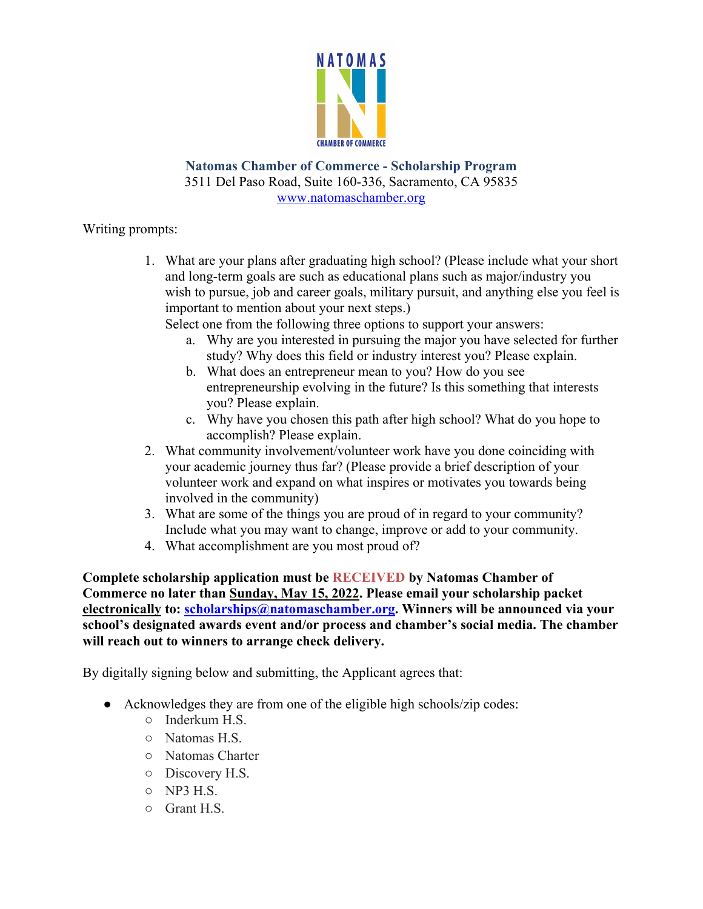

**Natomas Chamber of Commerce - Scholarship Program** 3511 Del Paso Road, Suite 160-336, Sacramento, CA 95835 www.natomaschamber.org

### Writing prompts:

1. What are your plans after graduating high school? (Please include what your short and long-term goals are such as educational plans such as major/industry you wish to pursue, job and career goals, military pursuit, and anything else you feel is important to mention about your next steps.)

Select one from the following three options to support your answers:

- a. Why are you interested in pursuing the major you have selected for further study? Why does this field or industry interest you? Please explain.
- b. What does an entrepreneur mean to you? How do you see entrepreneurship evolving in the future? Is this something that interests you? Please explain.
- c. Why have you chosen this path after high school? What do you hope to accomplish? Please explain.
- 2. What community involvement/volunteer work have you done coinciding with your academic journey thus far? (Please provide a brief description of your volunteer work and expand on what inspires or motivates you towards being involved in the community)
- 3. What are some of the things you are proud of in regard to your community? Include what you may want to change, improve or add to your community.
- 4. What accomplishment are you most proud of?

**Complete scholarship application must be RECEIVED by Natomas Chamber of Commerce no later than Sunday, May 15, 2022. Please email your scholarship packet <u>electronically</u>** to: scholarships@natomaschamber.org. Winners will be announced via your **school's designated awards event and/or process and chamber's social media. The chamber will reach out to winners to arrange check delivery.**

By digitally signing below and submitting, the Applicant agrees that:

- Acknowledges they are from one of the eligible high schools/zip codes:
	- Inderkum H.S.
	- Natomas H.S.
	- Natomas Charter
	- Discovery H.S.
	- NP3 H.S.
	- Grant H.S.